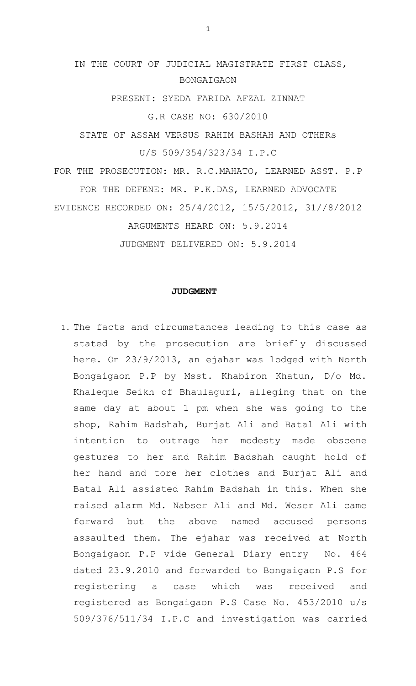# IN THE COURT OF JUDICIAL MAGISTRATE FIRST CLASS, BONGAIGAON

PRESENT: SYEDA FARIDA AFZAL ZINNAT

G.R CASE NO: 630/2010

STATE OF ASSAM VERSUS RAHIM BASHAH AND OTHERs U/S 509/354/323/34 I.P.C

FOR THE PROSECUTION: MR. R.C.MAHATO, LEARNED ASST. P.P FOR THE DEFENE: MR. P.K.DAS, LEARNED ADVOCATE EVIDENCE RECORDED ON: 25/4/2012, 15/5/2012, 31//8/2012 ARGUMENTS HEARD ON: 5.9.2014

JUDGMENT DELIVERED ON: 5.9.2014

### **JUDGMENT**

1. The facts and circumstances leading to this case as stated by the prosecution are briefly discussed here. On 23/9/2013, an ejahar was lodged with North Bongaigaon P.P by Msst. Khabiron Khatun, D/o Md. Khaleque Seikh of Bhaulaguri, alleging that on the same day at about 1 pm when she was going to the shop, Rahim Badshah, Burjat Ali and Batal Ali with intention to outrage her modesty made obscene gestures to her and Rahim Badshah caught hold of her hand and tore her clothes and Burjat Ali and Batal Ali assisted Rahim Badshah in this. When she raised alarm Md. Nabser Ali and Md. Weser Ali came forward but the above named accused persons assaulted them. The ejahar was received at North Bongaigaon P.P vide General Diary entry No. 464 dated 23.9.2010 and forwarded to Bongaigaon P.S for registering a case which was received and registered as Bongaigaon P.S Case No. 453/2010 u/s 509/376/511/34 I.P.C and investigation was carried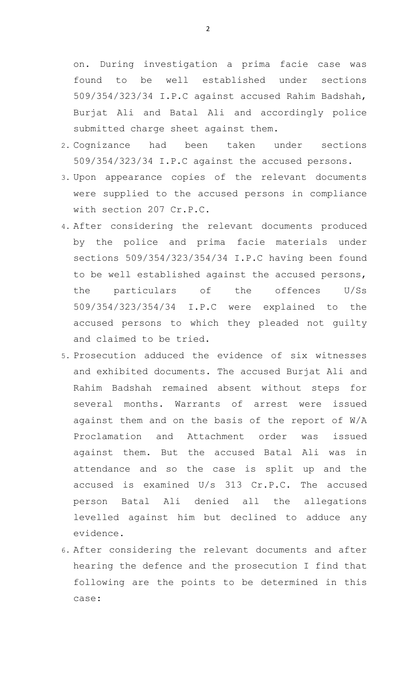on. During investigation a prima facie case was found to be well established under sections 509/354/323/34 I.P.C against accused Rahim Badshah, Burjat Ali and Batal Ali and accordingly police submitted charge sheet against them.

- 2. Cognizance had been taken under sections 509/354/323/34 I.P.C against the accused persons.
- 3. Upon appearance copies of the relevant documents were supplied to the accused persons in compliance with section 207 Cr.P.C.
- 4. After considering the relevant documents produced by the police and prima facie materials under sections 509/354/323/354/34 I.P.C having been found to be well established against the accused persons, the particulars of the offences U/Ss 509/354/323/354/34 I.P.C were explained to the accused persons to which they pleaded not guilty and claimed to be tried.
- 5. Prosecution adduced the evidence of six witnesses and exhibited documents. The accused Burjat Ali and Rahim Badshah remained absent without steps for several months. Warrants of arrest were issued against them and on the basis of the report of W/A Proclamation and Attachment order was issued against them. But the accused Batal Ali was in attendance and so the case is split up and the accused is examined U/s 313 Cr.P.C. The accused person Batal Ali denied all the allegations levelled against him but declined to adduce any evidence.
- 6. After considering the relevant documents and after hearing the defence and the prosecution I find that following are the points to be determined in this case: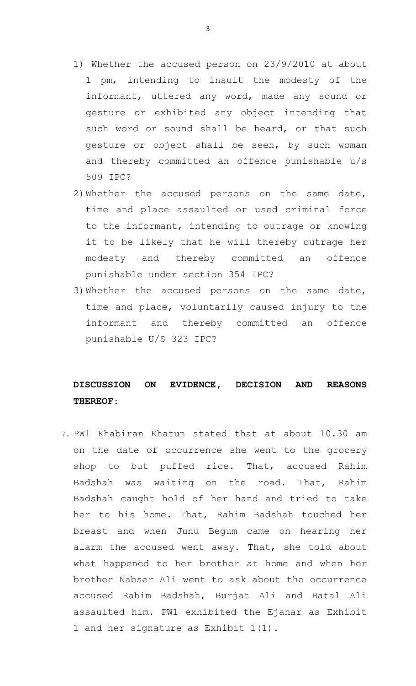- 1) Whether the accused person on 23/9/2010 at about 1 pm, intending to insult the modesty of the informant, uttered any word, made any sound or gesture or exhibited any object intending that such word or sound shall be heard, or that such gesture or object shall be seen, by such woman and thereby committed an offence punishable u/s 509 IPC?
- 2)Whether the accused persons on the same date, time and place assaulted or used criminal force to the informant, intending to outrage or knowing it to be likely that he will thereby outrage her modesty and thereby committed an offence punishable under section 354 IPC?
- 3)Whether the accused persons on the same date, time and place, voluntarily caused injury to the informant and thereby committed an offence punishable U/S 323 IPC?

## **DISCUSSION ON EVIDENCE, DECISION AND REASONS THEREOF:**

7. PW1 Khabiran Khatun stated that at about 10.30 am on the date of occurrence she went to the grocery shop to but puffed rice. That, accused Rahim Badshah was waiting on the road. That, Rahim Badshah caught hold of her hand and tried to take her to his home. That, Rahim Badshah touched her breast and when Junu Begum came on hearing her alarm the accused went away. That, she told about what happened to her brother at home and when her brother Nabser Ali went to ask about the occurrence accused Rahim Badshah, Burjat Ali and Batal Ali assaulted him. PW1 exhibited the Ejahar as Exhibit 1 and her signature as Exhibit 1(1).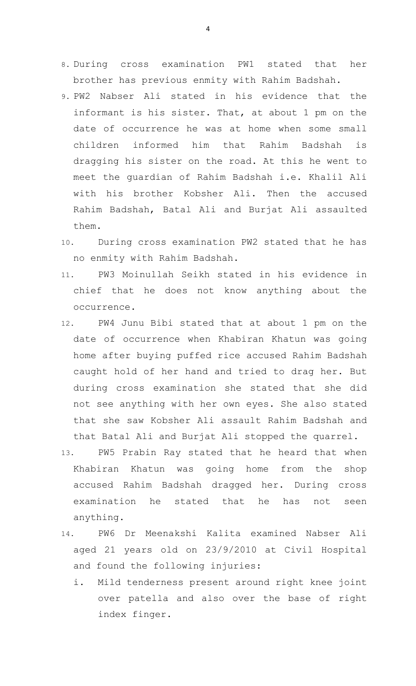- 8. During cross examination PW1 stated that her brother has previous enmity with Rahim Badshah.
- 9. PW2 Nabser Ali stated in his evidence that the informant is his sister. That, at about 1 pm on the date of occurrence he was at home when some small children informed him that Rahim Badshah is dragging his sister on the road. At this he went to meet the guardian of Rahim Badshah i.e. Khalil Ali with his brother Kobsher Ali. Then the accused Rahim Badshah, Batal Ali and Burjat Ali assaulted them.
- 10. During cross examination PW2 stated that he has no enmity with Rahim Badshah.
- 11. PW3 Moinullah Seikh stated in his evidence in chief that he does not know anything about the occurrence.
- 12. PW4 Junu Bibi stated that at about 1 pm on the date of occurrence when Khabiran Khatun was going home after buying puffed rice accused Rahim Badshah caught hold of her hand and tried to drag her. But during cross examination she stated that she did not see anything with her own eyes. She also stated that she saw Kobsher Ali assault Rahim Badshah and that Batal Ali and Burjat Ali stopped the quarrel.
- 13. PW5 Prabin Ray stated that he heard that when Khabiran Khatun was going home from the shop accused Rahim Badshah dragged her. During cross examination he stated that he has not seen anything.
- 14. PW6 Dr Meenakshi Kalita examined Nabser Ali aged 21 years old on 23/9/2010 at Civil Hospital and found the following injuries:
	- i. Mild tenderness present around right knee joint over patella and also over the base of right index finger.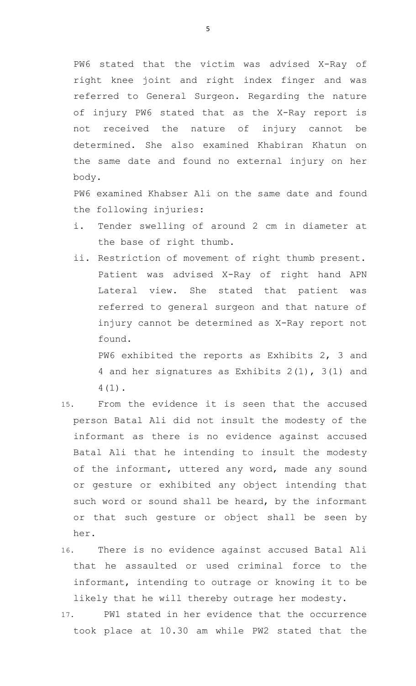PW6 stated that the victim was advised X-Ray of right knee joint and right index finger and was referred to General Surgeon. Regarding the nature of injury PW6 stated that as the X-Ray report is not received the nature of injury cannot be determined. She also examined Khabiran Khatun on the same date and found no external injury on her body.

PW6 examined Khabser Ali on the same date and found the following injuries:

- i. Tender swelling of around 2 cm in diameter at the base of right thumb.
- ii. Restriction of movement of right thumb present. Patient was advised X-Ray of right hand APN Lateral view. She stated that patient was referred to general surgeon and that nature of injury cannot be determined as X-Ray report not found.

PW6 exhibited the reports as Exhibits 2, 3 and 4 and her signatures as Exhibits 2(1), 3(1) and 4(1).

- 15. From the evidence it is seen that the accused person Batal Ali did not insult the modesty of the informant as there is no evidence against accused Batal Ali that he intending to insult the modesty of the informant, uttered any word, made any sound or gesture or exhibited any object intending that such word or sound shall be heard, by the informant or that such gesture or object shall be seen by her.
- 16. There is no evidence against accused Batal Ali that he assaulted or used criminal force to the informant, intending to outrage or knowing it to be likely that he will thereby outrage her modesty.
- 17. PW1 stated in her evidence that the occurrence took place at 10.30 am while PW2 stated that the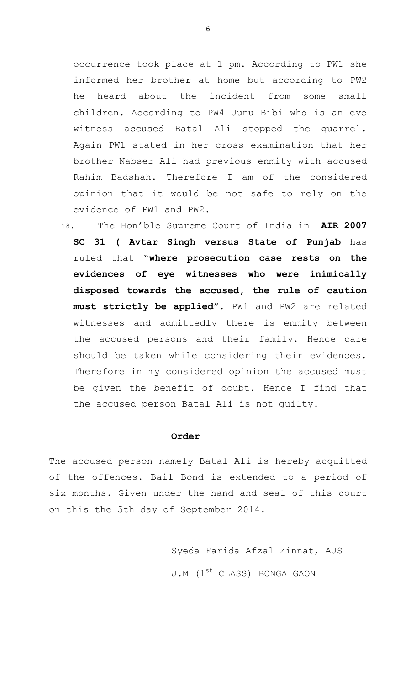occurrence took place at 1 pm. According to PW1 she informed her brother at home but according to PW2 he heard about the incident from some small children. According to PW4 Junu Bibi who is an eye witness accused Batal Ali stopped the quarrel. Again PW1 stated in her cross examination that her brother Nabser Ali had previous enmity with accused Rahim Badshah. Therefore I am of the considered opinion that it would be not safe to rely on the evidence of PW1 and PW2.

18. The Hon'ble Supreme Court of India in **AIR 2007 SC 31 ( Avtar Singh versus State of Punjab** has ruled that "**where prosecution case rests on the evidences of eye witnesses who were inimically disposed towards the accused, the rule of caution must strictly be applied**". PW1 and PW2 are related witnesses and admittedly there is enmity between the accused persons and their family. Hence care should be taken while considering their evidences. Therefore in my considered opinion the accused must be given the benefit of doubt. Hence I find that the accused person Batal Ali is not guilty.

#### **Order**

The accused person namely Batal Ali is hereby acquitted of the offences. Bail Bond is extended to a period of six months. Given under the hand and seal of this court on this the 5th day of September 2014.

> Syeda Farida Afzal Zinnat, AJS J.M (1<sup>st</sup> CLASS) BONGAIGAON